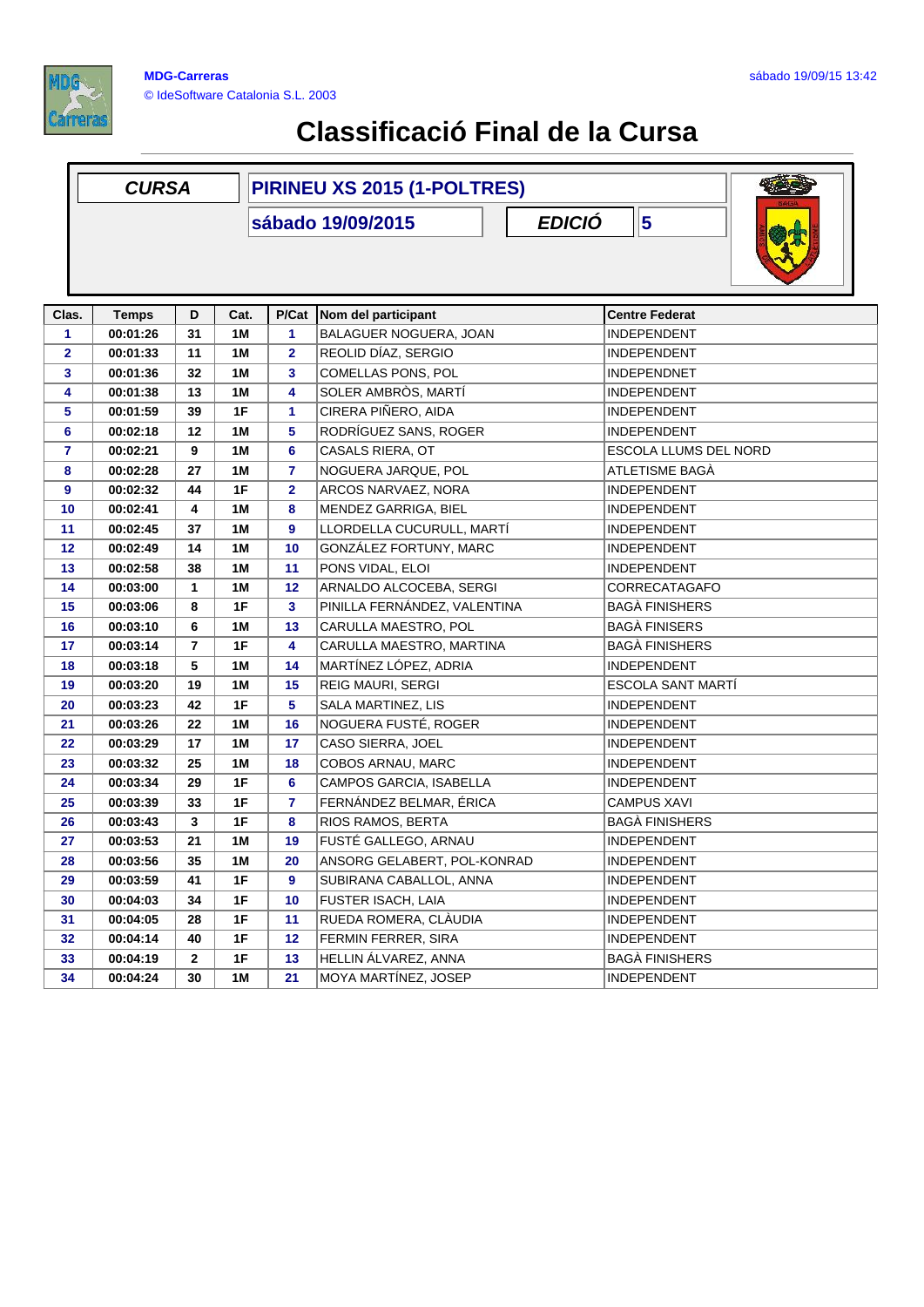

| PIRINEU XS 2015 (1-POLTRES)<br><b>CURSA</b> |              |                |               |                         |                                    |                          |  |  |  |  |
|---------------------------------------------|--------------|----------------|---------------|-------------------------|------------------------------------|--------------------------|--|--|--|--|
|                                             |              |                |               |                         | <b>EDICIÓ</b><br>sábado 19/09/2015 | $\vert$ 5                |  |  |  |  |
|                                             |              |                |               |                         |                                    |                          |  |  |  |  |
| Clas.                                       | <b>Temps</b> | D              | Cat.          | P/Cat                   | Nom del participant                | <b>Centre Federat</b>    |  |  |  |  |
| 1                                           | 00:01:26     | 31             | 1M            | 1                       | BALAGUER NOGUERA, JOAN             | <b>INDEPENDENT</b>       |  |  |  |  |
| $\overline{\mathbf{2}}$                     | 00:01:33     | 11             | 1M            | $\overline{\mathbf{2}}$ | REOLID DÍAZ, SERGIO                | <b>INDEPENDENT</b>       |  |  |  |  |
| 3                                           | 00:01:36     | 32             | 1 M           | 3                       | COMELLAS PONS, POL                 | <b>INDEPENDNET</b>       |  |  |  |  |
| 4                                           | 00:01:38     | 13             | 1M            | 4                       | SOLER AMBRÒS, MARTÍ                | <b>INDEPENDENT</b>       |  |  |  |  |
| 5                                           | 00:01:59     | 39             | 1F            | 1                       | CIRERA PIÑERO, AIDA                | <b>INDEPENDENT</b>       |  |  |  |  |
| 6                                           | 00:02:18     | 12             | 1M            | 5                       | RODRÍGUEZ SANS, ROGER              | <b>INDEPENDENT</b>       |  |  |  |  |
| $\overline{7}$                              | 00:02:21     | 9              | 1M            | $6\phantom{1}$          | CASALS RIERA, OT                   | ESCOLA LLUMS DEL NORD    |  |  |  |  |
| 8                                           | 00:02:28     | 27             | 1 M           | 7                       | NOGUERA JARQUE, POL                | ATLETISME BAGÀ           |  |  |  |  |
| 9                                           | 00:02:32     | 44             | 1F            | $\overline{\mathbf{2}}$ | ARCOS NARVAEZ, NORA                | <b>INDEPENDENT</b>       |  |  |  |  |
| 10                                          | 00:02:41     | 4              | 1M            | 8                       | MENDEZ GARRIGA, BIEL               | <b>INDEPENDENT</b>       |  |  |  |  |
| 11                                          | 00:02:45     | 37             | 1M            | 9                       | LLORDELLA CUCURULL, MARTÍ          | <b>INDEPENDENT</b>       |  |  |  |  |
| 12                                          | 00:02:49     | 14             | 1M            | 10                      | GONZÁLEZ FORTUNY, MARC             | <b>INDEPENDENT</b>       |  |  |  |  |
| 13                                          | 00:02:58     | 38             | 1 M           | 11                      | PONS VIDAL, ELOI                   | <b>INDEPENDENT</b>       |  |  |  |  |
| 14                                          | 00:03:00     | 1              | 1M            | 12                      | ARNALDO ALCOCEBA, SERGI            | CORRECATAGAFO            |  |  |  |  |
| 15                                          | 00:03:06     | 8              | 1F            | 3                       | PINILLA FERNÁNDEZ, VALENTINA       | <b>BAGÀ FINISHERS</b>    |  |  |  |  |
| 16                                          | 00:03:10     | 6              | 1M            | 13                      | CARULLA MAESTRO, POL               | <b>BAGÀ FINISERS</b>     |  |  |  |  |
| 17                                          | 00:03:14     | $\overline{7}$ | 1F            | 4                       | CARULLA MAESTRO, MARTINA           | <b>BAGÀ FINISHERS</b>    |  |  |  |  |
| 18                                          | 00:03:18     | 5              | 1 M           | 14                      | MARTÍNEZ LÓPEZ, ADRIA              | <b>INDEPENDENT</b>       |  |  |  |  |
| 19                                          | 00:03:20     | 19             | 1M            | 15                      | REIG MAURI, SERGI                  | <b>ESCOLA SANT MARTI</b> |  |  |  |  |
| 20                                          | 00:03:23     | 42             | 1F            | 5                       | SALA MARTINEZ, LIS                 | <b>INDEPENDENT</b>       |  |  |  |  |
| 21                                          | 00:03:26     | 22             | 1M            | 16                      | NOGUERA FUSTÉ, ROGER               | <b>INDEPENDENT</b>       |  |  |  |  |
| 22                                          | 00:03:29     | 17             | 1M            | 17                      | CASO SIERRA, JOEL                  | <b>INDEPENDENT</b>       |  |  |  |  |
| 23                                          | 00:03:32     | 25             | 1 M           | 18                      | COBOS ARNAU, MARC                  | <b>INDEPENDENT</b>       |  |  |  |  |
| 24                                          | 00:03:34     | 29             | 1F            | 6                       | CAMPOS GARCIA, ISABELLA            | <b>INDEPENDENT</b>       |  |  |  |  |
| 25                                          | 00:03:39     | 33             | 1F            | $\overline{7}$          | FERNÁNDEZ BELMAR, ÉRICA            | <b>CAMPUS XAVI</b>       |  |  |  |  |
| 26                                          | 00:03:43     | 3              | 1F            | 8                       | RIOS RAMOS, BERTA                  | <b>BAGA FINISHERS</b>    |  |  |  |  |
| 27                                          | 00:03:53     | 21             | 1M            | 19                      | FUSTÉ GALLEGO, ARNAU               | <b>INDEPENDENT</b>       |  |  |  |  |
| 28                                          | 00:03:56     | 35             | 1M            | 20                      | ANSORG GELABERT, POL-KONRAD        | INDEPENDENT              |  |  |  |  |
| 29                                          | 00:03:59     | 41             | 1F            | 9                       | SUBIRANA CABALLOL, ANNA            | <b>INDEPENDENT</b>       |  |  |  |  |
| 30                                          | 00:04:03     | 34             | 1F            | 10                      | FUSTER ISACH, LAIA                 | <b>INDEPENDENT</b>       |  |  |  |  |
| 31                                          | 00:04:05     | 28             | 1F            | 11                      | RUEDA ROMERA, CLÀUDIA              | <b>INDEPENDENT</b>       |  |  |  |  |
| 32                                          | 00:04:14     | 40             | 1F            | 12                      | FERMIN FERRER, SIRA                | <b>INDEPENDENT</b>       |  |  |  |  |
| 33                                          | 00:04:19     | $\mathbf{2}$   | $1\mathsf{F}$ | 13                      | HELLIN ÁLVAREZ, ANNA               | <b>BAGÀ FINISHERS</b>    |  |  |  |  |
| 34                                          | 00:04:24     | 30             | 1M            | 21                      | MOYA MARTÍNEZ, JOSEP               | <b>INDEPENDENT</b>       |  |  |  |  |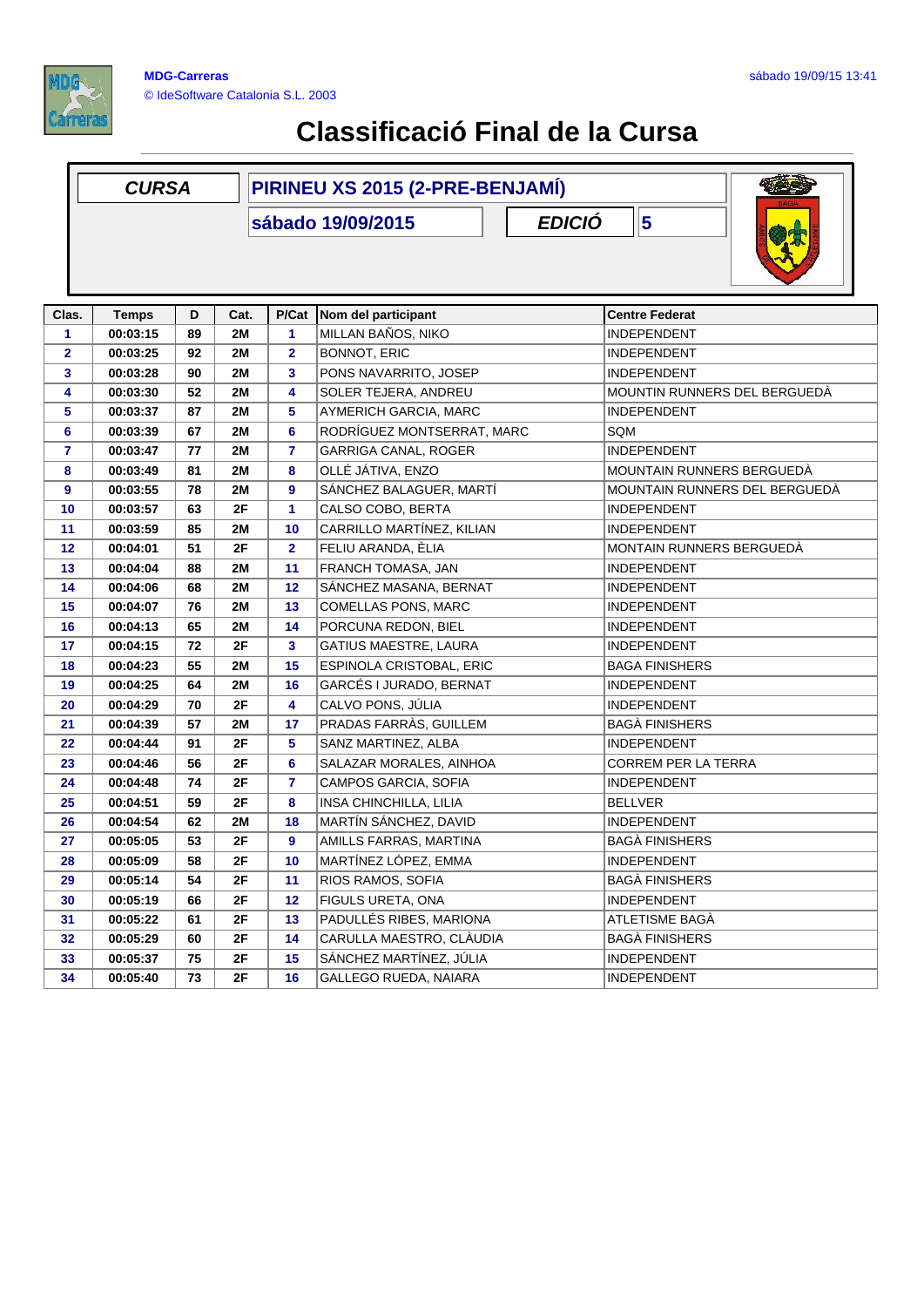

|                | <b>CURSA</b>             |    |            | PIRINEU XS 2015 (2-PRE-BENJAMÍ) |                                           |               |                            |                               |  |
|----------------|--------------------------|----|------------|---------------------------------|-------------------------------------------|---------------|----------------------------|-------------------------------|--|
|                |                          |    |            |                                 | sábado 19/09/2015                         | <b>EDICIÓ</b> | 5                          |                               |  |
| Clas.          |                          | D  |            |                                 |                                           |               | <b>Centre Federat</b>      |                               |  |
| 1              | <b>Temps</b><br>00:03:15 | 89 | Cat.<br>2M | P/Cat<br>$\mathbf{1}$           | Nom del participant<br>MILLAN BAÑOS, NIKO |               | <b>INDEPENDENT</b>         |                               |  |
| $\mathbf{2}$   | 00:03:25                 | 92 | <b>2M</b>  | $\overline{2}$                  | <b>BONNOT, ERIC</b>                       |               | INDEPENDENT                |                               |  |
| 3              | 00:03:28                 | 90 | 2M         | 3                               | PONS NAVARRITO, JOSEP                     |               | INDEPENDENT                |                               |  |
| 4              | 00:03:30                 | 52 | 2M         | 4                               | SOLER TEJERA, ANDREU                      |               |                            | MOUNTIN RUNNERS DEL BERGUEDÀ  |  |
| 5              | 00:03:37                 | 87 | 2M         | 5                               | AYMERICH GARCIA, MARC                     |               | INDEPENDENT                |                               |  |
| 6              | 00:03:39                 | 67 | 2M         | 6                               | RODRÍGUEZ MONTSERRAT, MARC                | SQM           |                            |                               |  |
| $\overline{7}$ | 00:03:47                 | 77 | 2M         | $\mathbf{7}$                    | <b>GARRIGA CANAL, ROGER</b>               |               | <b>INDEPENDENT</b>         |                               |  |
| 8              | 00:03:49                 | 81 | 2M         | 8                               | OLLÉ JÁTIVA, ENZO                         |               | MOUNTAIN RUNNERS BERGUEDÀ  |                               |  |
| 9              | 00:03:55                 | 78 | <b>2M</b>  | 9                               | SÁNCHEZ BALAGUER, MARTÍ                   |               |                            | MOUNTAIN RUNNERS DEL BERGUEDÀ |  |
| 10             | 00:03:57                 | 63 | 2F         | $\mathbf{1}$                    | CALSO COBO, BERTA                         |               | <b>INDEPENDENT</b>         |                               |  |
| 11             | 00:03:59                 | 85 | 2M         | 10                              | CARRILLO MARTÍNEZ, KILIAN                 |               | <b>INDEPENDENT</b>         |                               |  |
| 12             | 00:04:01                 | 51 | 2F         | $\overline{2}$                  | FELIU ARANDA, ÈLIA                        |               | MONTAIN RUNNERS BERGUEDÀ   |                               |  |
| 13             | 00:04:04                 | 88 | 2M         | 11                              | FRANCH TOMASA, JAN                        |               | INDEPENDENT                |                               |  |
| 14             | 00:04:06                 | 68 | 2M         | 12                              | SÁNCHEZ MASANA, BERNAT                    |               | INDEPENDENT                |                               |  |
| 15             | 00:04:07                 | 76 | 2M         | 13                              | COMELLAS PONS, MARC                       |               | INDEPENDENT                |                               |  |
| 16             | 00:04:13                 | 65 | 2M         | 14                              | PORCUNA REDON, BIEL                       |               | INDEPENDENT                |                               |  |
| 17             | 00:04:15                 | 72 | 2F         | 3                               | GATIUS MAESTRE, LAURA                     |               | INDEPENDENT                |                               |  |
| 18             | 00:04:23                 | 55 | 2M         | 15                              | ESPINOLA CRISTOBAL, ERIC                  |               | <b>BAGA FINISHERS</b>      |                               |  |
| 19             | 00:04:25                 | 64 | <b>2M</b>  | 16                              | GARCÉS I JURADO, BERNAT                   |               | <b>INDEPENDENT</b>         |                               |  |
| 20             | 00:04:29                 | 70 | 2F         | 4                               | CALVO PONS, JÚLIA                         |               | <b>INDEPENDENT</b>         |                               |  |
| 21             | 00:04:39                 | 57 | 2M         | 17                              | PRADAS FARRÀS, GUILLEM                    |               | <b>BAGÀ FINISHERS</b>      |                               |  |
| 22             | 00:04:44                 | 91 | 2F         | 5                               | SANZ MARTINEZ, ALBA                       |               | INDEPENDENT                |                               |  |
| 23             | 00:04:46                 | 56 | 2F         | 6                               | SALAZAR MORALES, AINHOA                   |               | <b>CORREM PER LA TERRA</b> |                               |  |
| 24             | 00:04:48                 | 74 | 2F         | $\overline{7}$                  | CAMPOS GARCIA, SOFIA                      |               | INDEPENDENT                |                               |  |
| 25             | 00:04:51                 | 59 | 2F         | 8                               | INSA CHINCHILLA, LILIA                    |               | <b>BELLVER</b>             |                               |  |
| 26             | 00:04:54                 | 62 | 2M         | 18                              | MARTÍN SÁNCHEZ, DAVID                     |               | INDEPENDENT                |                               |  |
| 27             | 00:05:05                 | 53 | 2F         | 9                               | AMILLS FARRAS, MARTINA                    |               | BAGÀ FINISHERS             |                               |  |
| 28             | 00:05:09                 | 58 | 2F         | 10                              | MARTÍNEZ LÓPEZ, EMMA                      |               | <b>INDEPENDENT</b>         |                               |  |
| 29             | 00:05:14                 | 54 | 2F         | 11                              | RIOS RAMOS, SOFIA                         |               | <b>BAGÀ FINISHERS</b>      |                               |  |
| 30             | 00:05:19                 | 66 | 2F         | 12                              | FIGULS URETA, ONA                         |               | <b>INDEPENDENT</b>         |                               |  |
| 31             | 00:05:22                 | 61 | 2F         | 13                              | PADULLÉS RIBES, MARIONA                   |               | ATLETISME BAGÀ             |                               |  |
| 32             | 00:05:29                 | 60 | 2F         | 14                              | CARULLA MAESTRO, CLÀUDIA                  |               | <b>BAGÀ FINISHERS</b>      |                               |  |
| 33             | 00:05:37                 | 75 | 2F         | 15                              | SÁNCHEZ MARTÍNEZ, JÚLIA                   |               | <b>INDEPENDENT</b>         |                               |  |
| 34             | 00:05:40                 | 73 | 2F         | 16                              | GALLEGO RUEDA, NAIARA                     |               | <b>INDEPENDENT</b>         |                               |  |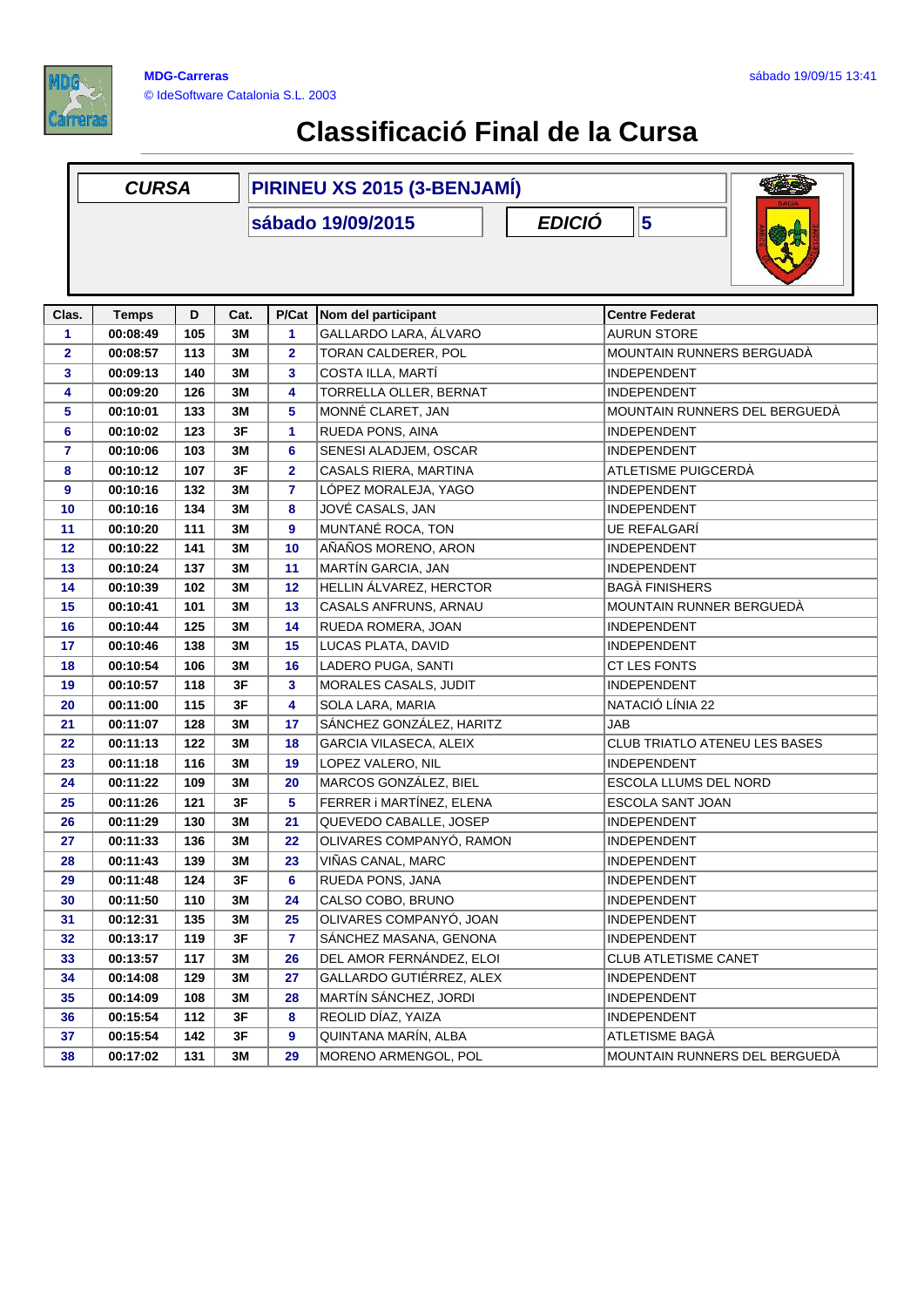

|                | <b>CURSA</b>                                    |     |      | PIRINEU XS 2015 (3-BENJAMÍ) |                           |  |                                      |  |  |  |
|----------------|-------------------------------------------------|-----|------|-----------------------------|---------------------------|--|--------------------------------------|--|--|--|
|                | $\vert$ 5<br><b>EDICIÓ</b><br>sábado 19/09/2015 |     |      |                             |                           |  |                                      |  |  |  |
| Clas.          | <b>Temps</b>                                    | D   | Cat. |                             | P/Cat Nom del participant |  | <b>Centre Federat</b>                |  |  |  |
| 1              | 00:08:49                                        | 105 | 3M   | 1                           | GALLARDO LARA, ÁLVARO     |  | <b>AURUN STORE</b>                   |  |  |  |
| $\mathbf{2}$   | 00:08:57                                        | 113 | 3M   | 2                           | TORAN CALDERER, POL       |  | MOUNTAIN RUNNERS BERGUADÀ            |  |  |  |
| 3              | 00:09:13                                        | 140 | 3M   | 3                           | COSTA ILLA, MARTÍ         |  | INDEPENDENT                          |  |  |  |
| 4              | 00:09:20                                        | 126 | 3M   | 4                           | TORRELLA OLLER, BERNAT    |  | <b>INDEPENDENT</b>                   |  |  |  |
| 5              | 00:10:01                                        | 133 | 3M   | 5                           | MONNÉ CLARET, JAN         |  | MOUNTAIN RUNNERS DEL BERGUEDÀ        |  |  |  |
| 6              | 00:10:02                                        | 123 | 3F   | 1                           | RUEDA PONS, AINA          |  | <b>INDEPENDENT</b>                   |  |  |  |
| $\overline{7}$ | 00:10:06                                        | 103 | 3M   | 6                           | SENESI ALADJEM, OSCAR     |  | <b>INDEPENDENT</b>                   |  |  |  |
| 8              | 00:10:12                                        | 107 | 3F   | $\mathbf{2}$                | CASALS RIERA, MARTINA     |  | ATLETISME PUIGCERDÀ                  |  |  |  |
| 9              | 00:10:16                                        | 132 | 3M   | $\mathbf{7}$                | LÓPEZ MORALEJA, YAGO      |  | <b>INDEPENDENT</b>                   |  |  |  |
| 10             | 00:10:16                                        | 134 | 3M   | 8                           | JOVÉ CASALS, JAN          |  | <b>INDEPENDENT</b>                   |  |  |  |
| 11             | 00:10:20                                        | 111 | 3M   | 9                           | MUNTANÉ ROCA, TON         |  | <b>UE REFALGARI</b>                  |  |  |  |
| 12             | 00:10:22                                        | 141 | 3M   | 10                          | AÑAÑOS MORENO, ARON       |  | <b>INDEPENDENT</b>                   |  |  |  |
| 13             | 00:10:24                                        | 137 | 3M   | 11                          | MARTÍN GARCIA, JAN        |  | INDEPENDENT                          |  |  |  |
| 14             | 00:10:39                                        | 102 | 3M   | 12                          | HELLIN ÁLVAREZ, HERCTOR   |  | <b>BAGA FINISHERS</b>                |  |  |  |
| 15             | 00:10:41                                        | 101 | 3M   | 13                          | CASALS ANFRUNS, ARNAU     |  | MOUNTAIN RUNNER BERGUEDÀ             |  |  |  |
| 16             | 00:10:44                                        | 125 | 3M   | 14                          | RUEDA ROMERA, JOAN        |  | <b>INDEPENDENT</b>                   |  |  |  |
| 17             | 00:10:46                                        | 138 | 3M   | 15                          | LUCAS PLATA, DAVID        |  | INDEPENDENT                          |  |  |  |
| 18             | 00:10:54                                        | 106 | 3M   | 16                          | LADERO PUGA, SANTI        |  | CT LES FONTS                         |  |  |  |
| 19             | 00:10:57                                        | 118 | 3F   | 3                           | MORALES CASALS, JUDIT     |  | <b>INDEPENDENT</b>                   |  |  |  |
| 20             | 00:11:00                                        | 115 | 3F   | 4                           | SOLA LARA, MARIA          |  | NATACIÓ LÍNIA 22                     |  |  |  |
| 21             | 00:11:07                                        | 128 | 3M   | 17                          | SÁNCHEZ GONZÁLEZ, HARITZ  |  | JAB                                  |  |  |  |
| 22             | 00:11:13                                        | 122 | 3M   | 18                          | GARCIA VILASECA, ALEIX    |  | <b>CLUB TRIATLO ATENEU LES BASES</b> |  |  |  |
| 23             | 00:11:18                                        | 116 | 3M   | 19                          | LOPEZ VALERO, NIL         |  | INDEPENDENT                          |  |  |  |
| 24             | 00:11:22                                        | 109 | ЗM   | 20                          | MARCOS GONZÁLEZ, BIEL     |  | ESCOLA LLUMS DEL NORD                |  |  |  |
| 25             | 00:11:26                                        | 121 | 3F   | 5                           | FERRER i MARTÍNEZ, ELENA  |  | ESCOLA SANT JOAN                     |  |  |  |
| 26             | 00:11:29                                        | 130 | 3M   | 21                          | QUEVEDO CABALLE, JOSEP    |  | <b>INDEPENDENT</b>                   |  |  |  |
| 27             | 00:11:33                                        | 136 | 3M   | 22                          | OLIVARES COMPANYÓ, RAMON  |  | <b>INDEPENDENT</b>                   |  |  |  |
| 28             | 00:11:43                                        | 139 | $3M$ | 23                          | VIÑAS CANAL, MARC         |  | INDEPENDENT                          |  |  |  |
| 29             | 00:11:48                                        | 124 | 3F   | 6                           | RUEDA PONS, JANA          |  | <b>INDEPENDENT</b>                   |  |  |  |
| 30             | 00:11:50                                        | 110 | 3M   | 24                          | CALSO COBO, BRUNO         |  | <b>INDEPENDENT</b>                   |  |  |  |
| 31             | 00:12:31                                        | 135 | 3M   | 25                          | OLIVARES COMPANYÓ, JOAN   |  | <b>INDEPENDENT</b>                   |  |  |  |
| 32             | 00:13:17                                        | 119 | 3F   | 7.                          | SÁNCHEZ MASANA, GENONA    |  | <b>INDEPENDENT</b>                   |  |  |  |
| 33             | 00:13:57                                        | 117 | 3M   | 26                          | DEL AMOR FERNÁNDEZ, ELOI  |  | <b>CLUB ATLETISME CANET</b>          |  |  |  |
| 34             | 00:14:08                                        | 129 | 3M   | 27                          | GALLARDO GUTIÉRREZ, ALEX  |  | <b>INDEPENDENT</b>                   |  |  |  |
| 35             | 00:14:09                                        | 108 | 3M   | 28                          | MARTÍN SÁNCHEZ, JORDI     |  | <b>INDEPENDENT</b>                   |  |  |  |
| 36             | 00:15:54                                        | 112 | 3F   | 8                           | REOLID DÍAZ, YAIZA        |  | <b>INDEPENDENT</b>                   |  |  |  |
| 37             | 00:15:54                                        | 142 | 3F   | 9                           | QUINTANA MARÍN, ALBA      |  | ATLETISME BAGÀ                       |  |  |  |
|                |                                                 |     |      |                             | MORENO ARMENGOL, POL      |  | MOUNTAIN RUNNERS DEL BERGUEDÀ        |  |  |  |
| 38             | 00:17:02                                        | 131 | 3M   | 29                          |                           |  |                                      |  |  |  |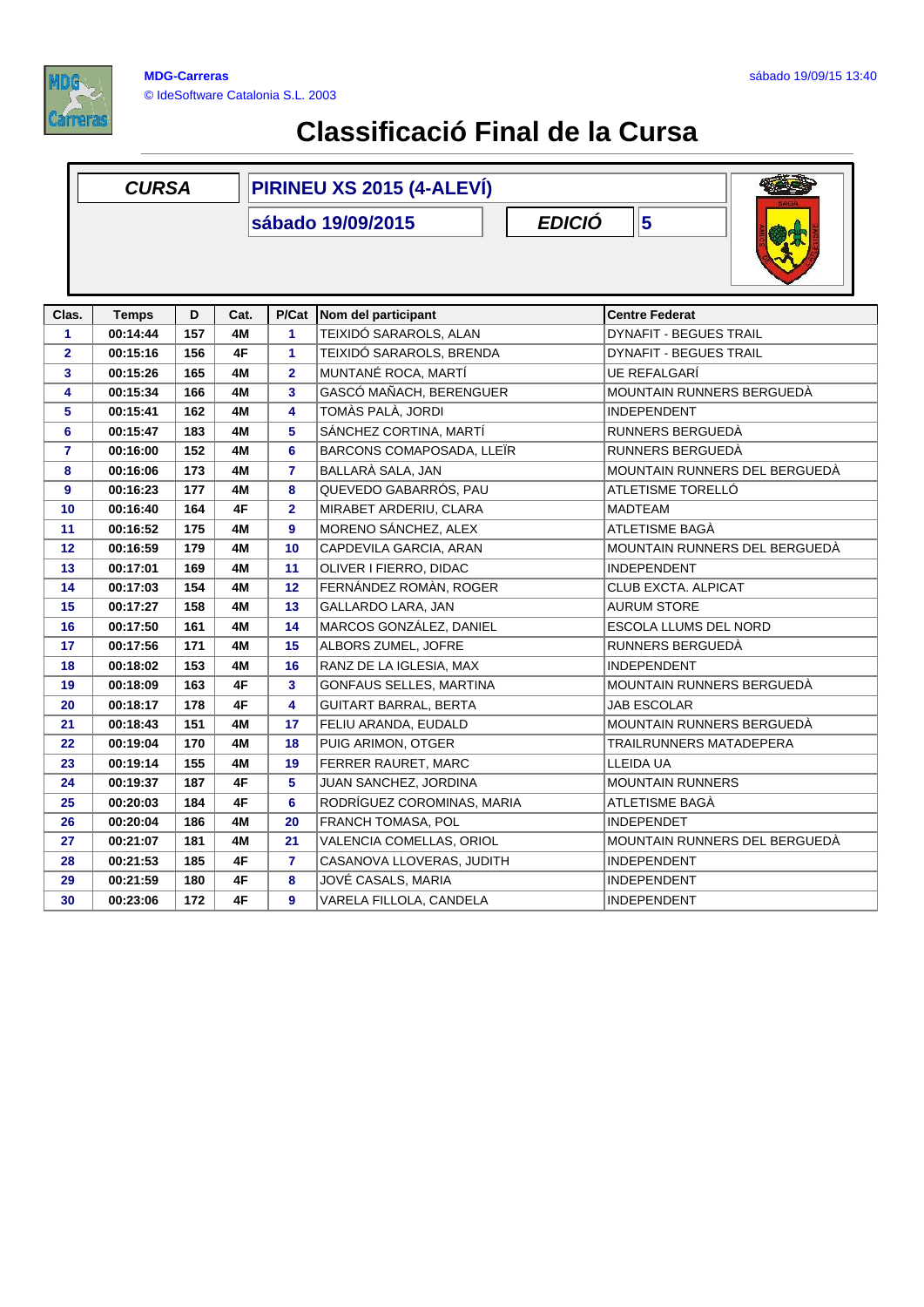

|                | <b>CURSA</b> |                  |      | PIRINEU XS 2015 (4-ALEVÍ) |                              |                               |  |  |  |
|----------------|--------------|------------------|------|---------------------------|------------------------------|-------------------------------|--|--|--|
|                |              |                  |      |                           | sábado 19/09/2015            | $\vert$ 5<br><b>EDICIÓ</b>    |  |  |  |
|                |              |                  |      |                           |                              |                               |  |  |  |
| Clas.          | <b>Temps</b> | D                | Cat. |                           | P/Cat Nom del participant    | <b>Centre Federat</b>         |  |  |  |
| 1              | 00:14:44     | $\overline{157}$ | 4M   | 1                         | TEIXIDÓ SARAROLS, ALAN       | <b>DYNAFIT - BEGUES TRAIL</b> |  |  |  |
| $\overline{2}$ | 00:15:16     | 156              | 4F   | $\blacktriangleleft$      | TEIXIDÓ SARAROLS, BRENDA     | <b>DYNAFIT - BEGUES TRAIL</b> |  |  |  |
| 3              | 00:15:26     | 165              | 4M   | $\overline{2}$            | MUNTANÉ ROCA, MARTÍ          | <b>UE REFALGARI</b>           |  |  |  |
| 4              | 00:15:34     | 166              | 4M   | 3                         | GASCÓ MAÑACH, BERENGUER      | MOUNTAIN RUNNERS BERGUEDÀ     |  |  |  |
| 5              | 00:15:41     | 162              | 4M   | 4                         | TOMÀS PALÀ, JORDI            | <b>INDEPENDENT</b>            |  |  |  |
| 6              | 00:15:47     | 183              | 4M   | 5                         | SÁNCHEZ CORTINA, MARTÍ       | RUNNERS BERGUEDÀ              |  |  |  |
| $\overline{7}$ | 00:16:00     | 152              | 4M   | 6                         | BARCONS COMAPOSADA, LLEÏR    | RUNNERS BERGUEDÀ              |  |  |  |
| 8              | 00:16:06     | 173              | 4M   | $\overline{7}$            | BALLARÀ SALA, JAN            | MOUNTAIN RUNNERS DEL BERGUEDÀ |  |  |  |
| 9              | 00:16:23     | 177              | 4M   | 8                         | QUEVEDO GABARRÓS, PAU        | ATLETISME TORELLÓ             |  |  |  |
| 10             | 00:16:40     | 164              | 4F   | $\overline{2}$            | MIRABET ARDERIU, CLARA       | <b>MADTEAM</b>                |  |  |  |
| 11             | 00:16:52     | 175              | 4M   | 9                         | MORENO SÁNCHEZ, ALEX         | ATLETISME BAGÀ                |  |  |  |
| 12             | 00:16:59     | 179              | 4M   | 10                        | CAPDEVILA GARCIA, ARAN       | MOUNTAIN RUNNERS DEL BERGUEDÀ |  |  |  |
| 13             | 00:17:01     | 169              | 4M   | 11                        | OLIVER I FIERRO, DIDAC       | <b>INDEPENDENT</b>            |  |  |  |
| 14             | 00:17:03     | 154              | 4M   | 12                        | FERNÁNDEZ ROMÀN, ROGER       | <b>CLUB EXCTA, ALPICAT</b>    |  |  |  |
| 15             | 00:17:27     | 158              | 4M   | 13                        | GALLARDO LARA, JAN           | <b>AURUM STORE</b>            |  |  |  |
| 16             | 00:17:50     | 161              | 4M   | 14                        | MARCOS GONZÁLEZ, DANIEL      | <b>ESCOLA LLUMS DEL NORD</b>  |  |  |  |
| 17             | 00:17:56     | 171              | 4M   | 15                        | ALBORS ZUMEL, JOFRE          | RUNNERS BERGUEDÀ              |  |  |  |
| 18             | 00:18:02     | 153              | 4M   | 16                        | RANZ DE LA IGLESIA, MAX      | <b>INDEPENDENT</b>            |  |  |  |
| 19             | 00:18:09     | 163              | 4F   | 3                         | GONFAUS SELLES, MARTINA      | MOUNTAIN RUNNERS BERGUEDÀ     |  |  |  |
| 20             | 00:18:17     | 178              | 4F   | 4                         | <b>GUITART BARRAL, BERTA</b> | <b>JAB ESCOLAR</b>            |  |  |  |
| 21             | 00:18:43     | 151              | 4M   | 17                        | FELIU ARANDA, EUDALD         | MOUNTAIN RUNNERS BERGUEDÀ     |  |  |  |
| 22             | 00:19:04     | 170              | 4M   | 18                        | PUIG ARIMON, OTGER           | TRAILRUNNERS MATADEPERA       |  |  |  |
| 23             | 00:19:14     | 155              | 4M   | 19                        | FERRER RAURET, MARC          | LLEIDA UA                     |  |  |  |
| 24             | 00:19:37     | 187              | 4F   | 5                         | JUAN SANCHEZ, JORDINA        | <b>MOUNTAIN RUNNERS</b>       |  |  |  |
| 25             | 00:20:03     | 184              | 4F   | 6                         | RODRÍGUEZ COROMINAS, MARIA   | ATLETISME BAGA                |  |  |  |
| 26             | 00:20:04     | 186              | 4M   | 20                        | FRANCH TOMASA, POL           | <b>INDEPENDET</b>             |  |  |  |
| 27             | 00:21:07     | 181              | 4M   | 21                        | VALENCIA COMELLAS, ORIOL     | MOUNTAIN RUNNERS DEL BERGUEDA |  |  |  |
| 28             | 00:21:53     | 185              | 4F   | $\overline{7}$            | CASANOVA LLOVERAS, JUDITH    | <b>INDEPENDENT</b>            |  |  |  |
| 29             | 00:21:59     | 180              | 4F   | 8                         | JOVÉ CASALS, MARIA           | <b>INDEPENDENT</b>            |  |  |  |
| 30             | 00:23:06     | 172              | 4F   | 9                         | VARELA FILLOLA, CANDELA      | <b>INDEPENDENT</b>            |  |  |  |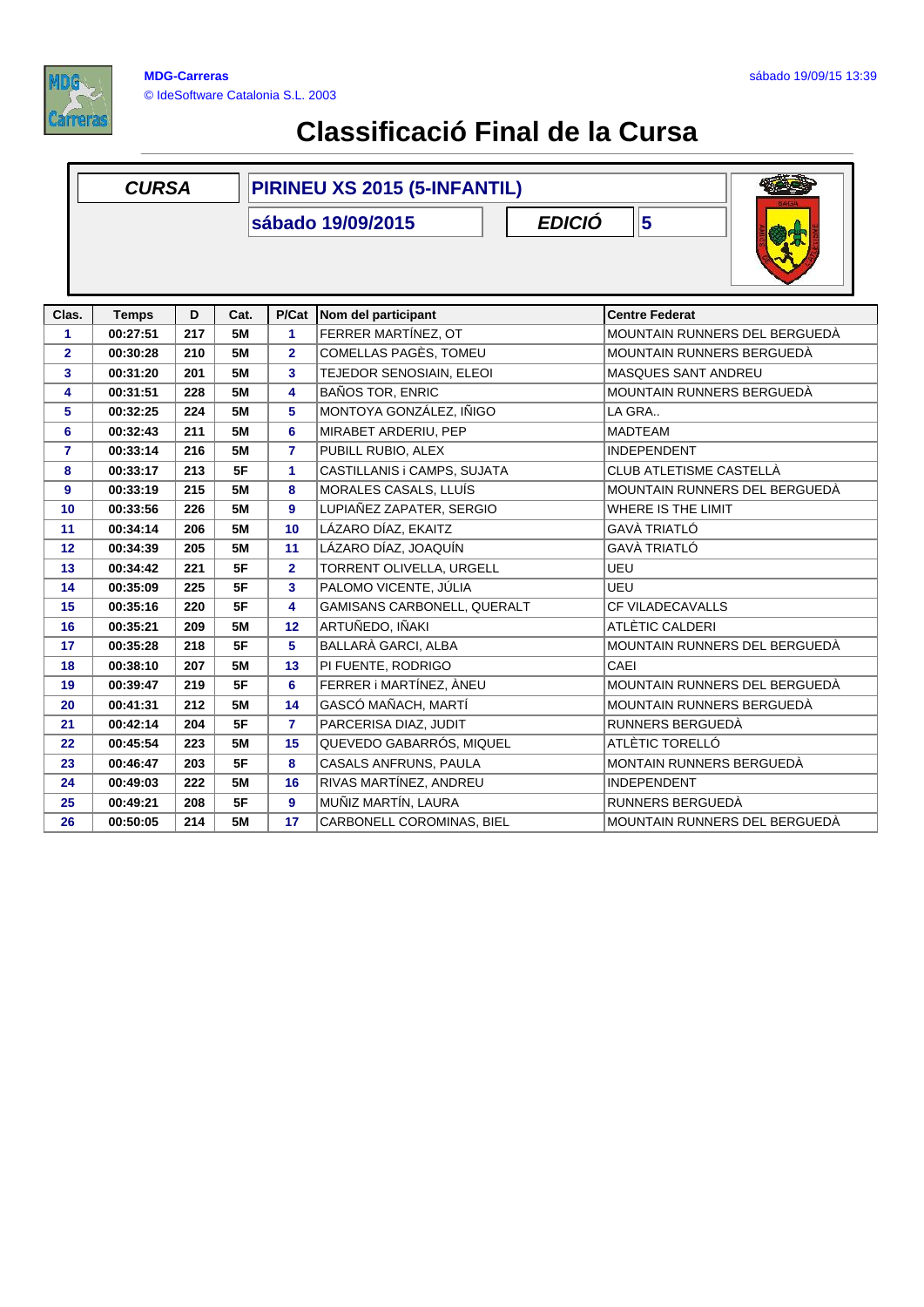

|              | <b>CURSA</b>                                                  |     |           | PIRINEU XS 2015 (5-INFANTIL) |                             |                               |  |  |  |
|--------------|---------------------------------------------------------------|-----|-----------|------------------------------|-----------------------------|-------------------------------|--|--|--|
|              | <b>EDICIÓ</b><br>$\overline{\mathbf{5}}$<br>sábado 19/09/2015 |     |           |                              |                             |                               |  |  |  |
| Clas.        | <b>Temps</b>                                                  | D   | Cat.      | P/Cat                        | Nom del participant         | <b>Centre Federat</b>         |  |  |  |
| 1            | 00:27:51                                                      | 217 | <b>5M</b> | $\blacktriangleleft$         | FERRER MARTÍNEZ, OT         | MOUNTAIN RUNNERS DEL BERGUEDÀ |  |  |  |
| $\mathbf{2}$ | 00:30:28                                                      | 210 | 5M        | $\overline{2}$               | COMELLAS PAGÈS, TOMEU       | MOUNTAIN RUNNERS BERGUEDÀ     |  |  |  |
| 3            | 00:31:20                                                      | 201 | <b>5M</b> | 3                            | TEJEDOR SENOSIAIN, ELEOI    | <b>MASQUES SANT ANDREU</b>    |  |  |  |
| 4            | 00:31:51                                                      | 228 | <b>5M</b> | 4                            | <b>BAÑOS TOR, ENRIC</b>     | MOUNTAIN RUNNERS BERGUEDÀ     |  |  |  |
| 5            | 00:32:25                                                      | 224 | <b>5M</b> | 5                            | MONTOYA GONZÁLEZ, IÑIGO     | LA GRA                        |  |  |  |
| 6            | 00:32:43                                                      | 211 | <b>5M</b> | 6                            | MIRABET ARDERIU, PEP        | <b>MADTEAM</b>                |  |  |  |
| 7            | 00:33:14                                                      | 216 | 5M        | $\overline{7}$               | PUBILL RUBIO, ALEX          | <b>INDEPENDENT</b>            |  |  |  |
| 8            | 00:33:17                                                      | 213 | 5F        | 1                            | CASTILLANIS i CAMPS, SUJATA | CLUB ATLETISME CASTELLÀ       |  |  |  |
| 9            | 00:33:19                                                      | 215 | <b>5M</b> | 8                            | MORALES CASALS, LLUÍS       | MOUNTAIN RUNNERS DEL BERGUEDÀ |  |  |  |
| 10           | 00:33:56                                                      | 226 | <b>5M</b> | $\mathbf{9}$                 | LUPIAÑEZ ZAPATER, SERGIO    | WHERE IS THE LIMIT            |  |  |  |
| 11           | 00:34:14                                                      | 206 | <b>5M</b> | 10                           | LÁZARO DÍAZ, EKAITZ         | GAVÀ TRIATLÓ                  |  |  |  |
| 12           | 00:34:39                                                      | 205 | <b>5M</b> | 11                           | LÁZARO DÍAZ, JOAQUÍN        | <b>GAVÀ TRIATLÓ</b>           |  |  |  |
| 13           | 00:34:42                                                      | 221 | 5F        | 2 <sup>1</sup>               | TORRENT OLIVELLA, URGELL    | <b>UEU</b>                    |  |  |  |
| 14           | 00:35:09                                                      | 225 | 5F        | 3                            | PALOMO VICENTE, JÚLIA       | <b>UEU</b>                    |  |  |  |
| 15           | 00:35:16                                                      | 220 | 5F        | $\overline{\mathbf{4}}$      | GAMISANS CARBONELL, QUERALT | CF VILADECAVALLS              |  |  |  |
| 16           | 00:35:21                                                      | 209 | <b>5M</b> | 12                           | ARTUÑEDO, IÑAKI             | ATLÈTIC CALDERI               |  |  |  |
| 17           | 00:35:28                                                      | 218 | 5F        | 5                            | BALLARÀ GARCI, ALBA         | MOUNTAIN RUNNERS DEL BERGUEDÀ |  |  |  |
| 18           | 00:38:10                                                      | 207 | <b>5M</b> | 13                           | PI FUENTE, RODRIGO          | CAEI                          |  |  |  |
| 19           | 00:39:47                                                      | 219 | 5F        | 6                            | FERRER i MARTÍNEZ, ÀNEU     | MOUNTAIN RUNNERS DEL BERGUEDÀ |  |  |  |
| 20           | 00:41:31                                                      | 212 | <b>5M</b> | 14                           | GASCÓ MAÑACH, MARTÍ         | MOUNTAIN RUNNERS BERGUEDÀ     |  |  |  |
| 21           | 00:42:14                                                      | 204 | 5F        | $\overline{7}$               | PARCERISA DIAZ, JUDIT       | RUNNERS BERGUEDÀ              |  |  |  |
| 22           | 00:45:54                                                      | 223 | <b>5M</b> | 15                           | QUEVEDO GABARRÓS, MIQUEL    | ATLÈTIC TORELLÓ               |  |  |  |
| 23           | 00:46:47                                                      | 203 | 5F        | 8                            | CASALS ANFRUNS, PAULA       | MONTAIN RUNNERS BERGUEDÀ      |  |  |  |
| 24           | 00:49:03                                                      | 222 | 5M        | 16                           | RIVAS MARTÍNEZ, ANDREU      | <b>INDEPENDENT</b>            |  |  |  |
| 25           | 00:49:21                                                      | 208 | 5F        | 9                            | MUÑIZ MARTÍN, LAURA         | RUNNERS BERGUEDÀ              |  |  |  |
| 26           | 00:50:05                                                      | 214 | <b>5M</b> | 17                           | CARBONELL COROMINAS, BIEL   | MOUNTAIN RUNNERS DEL BERGUEDÀ |  |  |  |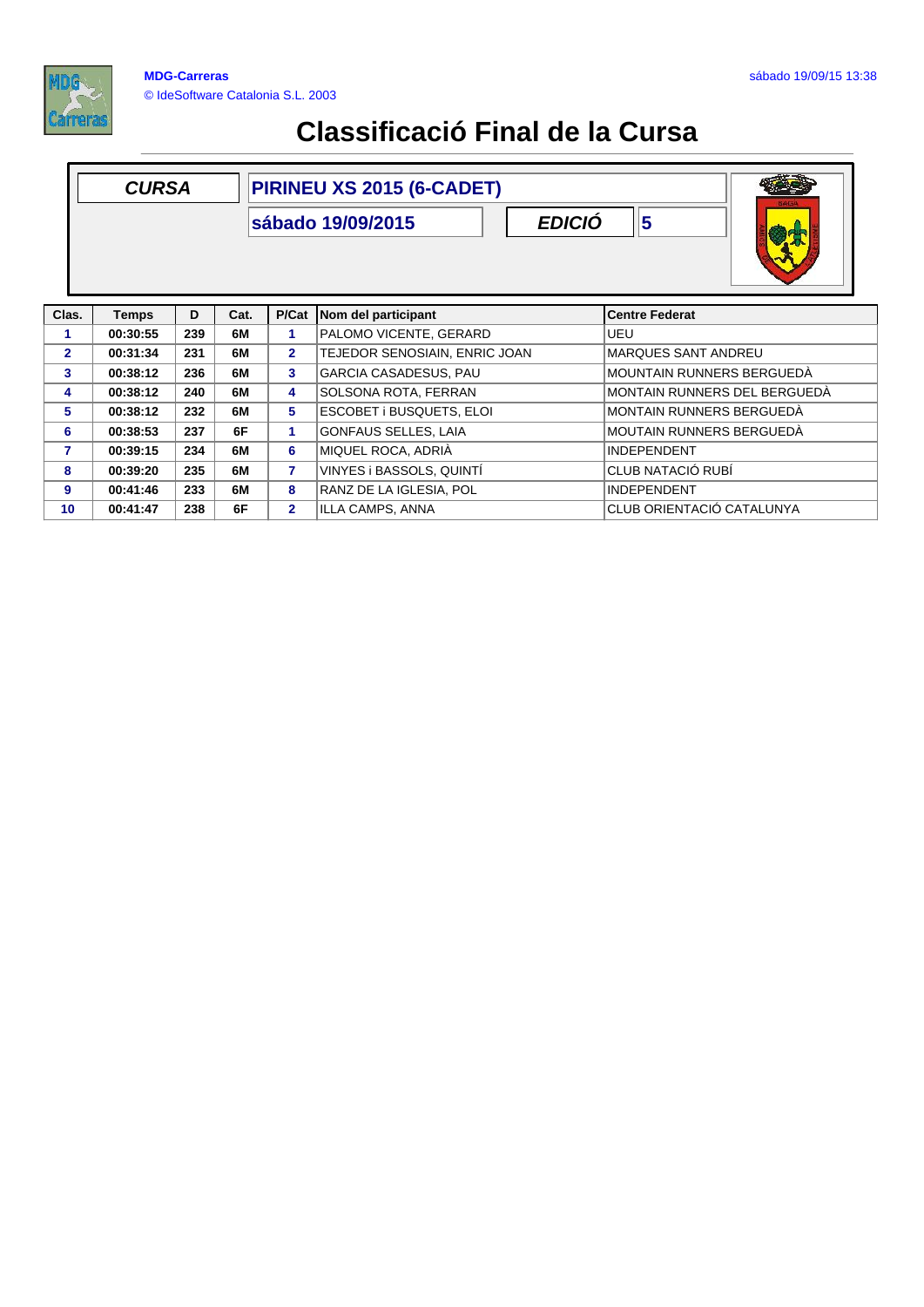

|                | <b>CURSA</b> |     |      |                         | PIRINEU XS 2015 (6-CADET)<br><b>EDICIÓ</b><br>sábado 19/09/2015 | 5                                   |
|----------------|--------------|-----|------|-------------------------|-----------------------------------------------------------------|-------------------------------------|
| Clas.          | <b>Temps</b> | D   | Cat. |                         | P/Cat Nom del participant                                       | <b>Centre Federat</b>               |
| 1              | 00:30:55     | 239 | 6M   | 1                       | PALOMO VICENTE, GERARD                                          | UEU                                 |
| $\overline{2}$ | 00:31:34     | 231 | 6M   | $\overline{2}$          | TEJEDOR SENOSIAIN, ENRIC JOAN                                   | <b>MARQUES SANT ANDREU</b>          |
| 3              | 00:38:12     | 236 | 6M   | 3 <sup>1</sup>          | GARCIA CASADESUS, PAU                                           | <b>MOUNTAIN RUNNERS BERGUEDA</b>    |
| 4              | 00:38:12     | 240 | 6M   | $\overline{\mathbf{4}}$ | SOLSONA ROTA, FERRAN                                            | <b>MONTAIN RUNNERS DEL BERGUEDA</b> |
| 5              | 00:38:12     | 232 | 6M   | 5                       | ESCOBET i BUSQUETS, ELOI                                        | <b>MONTAIN RUNNERS BERGUEDA</b>     |
| 6              | 00:38:53     | 237 | 6F   | 1.                      | GONFAUS SELLES, LAIA                                            | <b>MOUTAIN RUNNERS BERGUEDA</b>     |
| 7              | 00:39:15     | 234 | 6M   | 6                       | MIQUEL ROCA, ADRIÀ                                              | <b>INDEPENDENT</b>                  |
| 8              | 00:39:20     | 235 | 6M   | $\overline{7}$          | VINYES i BASSOLS, QUINTI                                        | CLUB NATACIÓ RUBÍ                   |
| 9              | 00:41:46     | 233 | 6M   | 8                       | RANZ DE LA IGLESIA, POL                                         | <b>INDEPENDENT</b>                  |
| 10             | 00:41:47     | 238 | 6F   | $\overline{2}$          | ILLA CAMPS, ANNA                                                | CLUB ORIENTACIÓ CATALUNYA           |